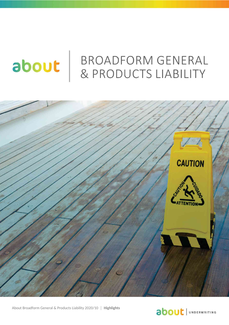# about

## **BROADFORM GENERAL & PRODUCTS LIABILITY**



About Broadform General & Products Liability 2020/10 │ **Highlights** 

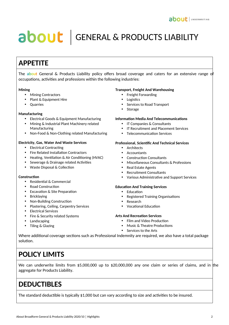## about | GENERAL & PRODUCTS LIABILITY

## **APPETITE**

The **about** General & Products Liability policy offers broad coverage and caters for an extensive range of occupations, activities and professions within the following industries:

#### **Mining**

- Mining Contractors
- Plant & Equipment Hire
- Quarries

#### **Manufacturing**

- Electrical Goods & Equipment Manufacturing
- Mining & Industrial Plant Machinery related Manufacturing
- Non-Food & Non-Clothing related Manufacturing

#### **Electricity, Gas, Water And Waste Services**

- Electrical Contracting
- Fire Related Installation Contractors
- Heating, Ventilation & Air Conditioning (HVAC)
- Sewerage & Drainage related Activities
- Waste Disposal & Collection

#### **Construction**

- Residential & Commercial
- Road Construction
- Excavation & Site Preparation
- Bricklaying
- Non-Building Construction
- Plastering, Ceiling, Carpentry Services
- Electrical Services
- Fire & Security related Systems
- Landscaping
- Tiling & Glazing

#### **Transport, Freight And Warehousing**

- Freight Forwarding
- Logistics
- Services to Road Transport
- Storage

#### **Information Media And Telecommunications**

- IT Companies & Consultants
- IT Recruitment and Placement Services
- Telecommunication Services

#### **Professional, Scientific And Technical Services**

- Architects
- Accountants
- Construction Consultants
- Miscellaneous Consultants & Professions
- Real Estate Agents
- Recruitment Consultants
- Various Administrative and Support Services

#### **Education And Training Services**

- Education
- Registered Training Organisations
- Research
- Vocational Education

#### **Arts And Recreation Services**

- Film and Video Production
- Music & Theatre Productions
- Services to the Arts

Where additional coverage sections such as Professional Indemnity are required, we also have a total package solution.

### **POLICY LIMITS**

We can underwrite limits from \$5,000,000 up to \$20,000,000 any one claim or series of claims, and in the aggregate for Products Liability.

## **DEDUCTIBLES**

The standard deductible is typically \$1,000 but can vary according to size and activities to be insured.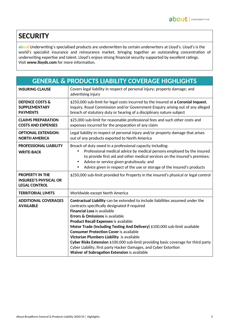## **SECURITY**

**about** Underwriting's specialised products are underwritten by certain underwriters at Lloyd's. Lloyd's is the world's specialist insurance and reinsurance market, bringing together an outstanding concentration of underwriting expertise and talent. Lloyd's enjoys strong financial security supported by excellent ratings. Visit **www.lloyds.com** for more information.

| <b>GENERAL &amp; PRODUCTS LIABILITY COVERAGE HIGHLIGHTS</b>                    |                                                                                                                                                                                                                                                                                                                                                                                                                                                                                                                                                                                                                                               |
|--------------------------------------------------------------------------------|-----------------------------------------------------------------------------------------------------------------------------------------------------------------------------------------------------------------------------------------------------------------------------------------------------------------------------------------------------------------------------------------------------------------------------------------------------------------------------------------------------------------------------------------------------------------------------------------------------------------------------------------------|
| <b>INSURING CLAUSE</b>                                                         | Covers legal liability in respect of personal injury; property damage; and<br>advertising injury                                                                                                                                                                                                                                                                                                                                                                                                                                                                                                                                              |
| <b>DEFENCE COSTS &amp;</b><br><b>SUPPLEMENTARY</b><br><b>PAYMENTS</b>          | \$250,000 sub-limit for legal costs incurred by the insured at a Coronial Inquest,<br>Inquiry, Royal Commission and/or Government Enquiry arising out of any alleged<br>breach of statutory duty or hearing of a disciplinary nature subject                                                                                                                                                                                                                                                                                                                                                                                                  |
| <b>CLAIMS PREPARATION</b><br><b>COSTS AND EXPENSES</b>                         | \$25,000 sub-limit for reasonable professional fees and such other costs and<br>expenses incurred for the preparation of any claim                                                                                                                                                                                                                                                                                                                                                                                                                                                                                                            |
| <b>OPTIONAL EXTENSION:</b><br><b>NORTH AMERICA</b>                             | Legal liability in respect of personal injury and/or property damage that arises<br>out of any products exported to North America                                                                                                                                                                                                                                                                                                                                                                                                                                                                                                             |
| <b>PROFESSIONAL LIABILITY</b><br><b>WRITE-BACK</b>                             | Breach of duty owed in a professional capacity including:<br>Professional medical advice by medical persons employed by the insured<br>$\bullet$<br>to provide first aid and other medical services on the insured's premises;<br>Advice or service given gratuitously; and<br>$\bullet$<br>Advice given in respect of the use or storage of the insured's products<br>$\bullet$                                                                                                                                                                                                                                                              |
| <b>PROPERTY IN THE</b><br><b>INSURED'S PHYSICAL OR</b><br><b>LEGAL CONTROL</b> | \$250,000 sub-limit provided for Property in the insured's physical or legal control                                                                                                                                                                                                                                                                                                                                                                                                                                                                                                                                                          |
| <b>TERRITORIAL LIMITS</b>                                                      | Worldwide except North America                                                                                                                                                                                                                                                                                                                                                                                                                                                                                                                                                                                                                |
| <b>ADDITIONAL COVERAGES</b><br><b>AVAILABLE</b>                                | Contractual Liability can be extended to include liabilities assumed under the<br>contracts specifically designated if required<br><b>Financial Loss is available</b><br>Errors & Omissions is available<br><b>Product Recall Expenses is available</b><br>Motor Trade (Including Testing And Delivery) \$100,000 sub-limit available<br><b>Consumer Protection Cover is available</b><br>Victorian Plumbers Liability is available<br>Cyber Risks Extension \$100,000 sub-limit providing basic coverage for third party<br>Cyber Liability, first party Hacker Damages, and Cyber Extortion<br>Waiver of Subrogation Extension is available |